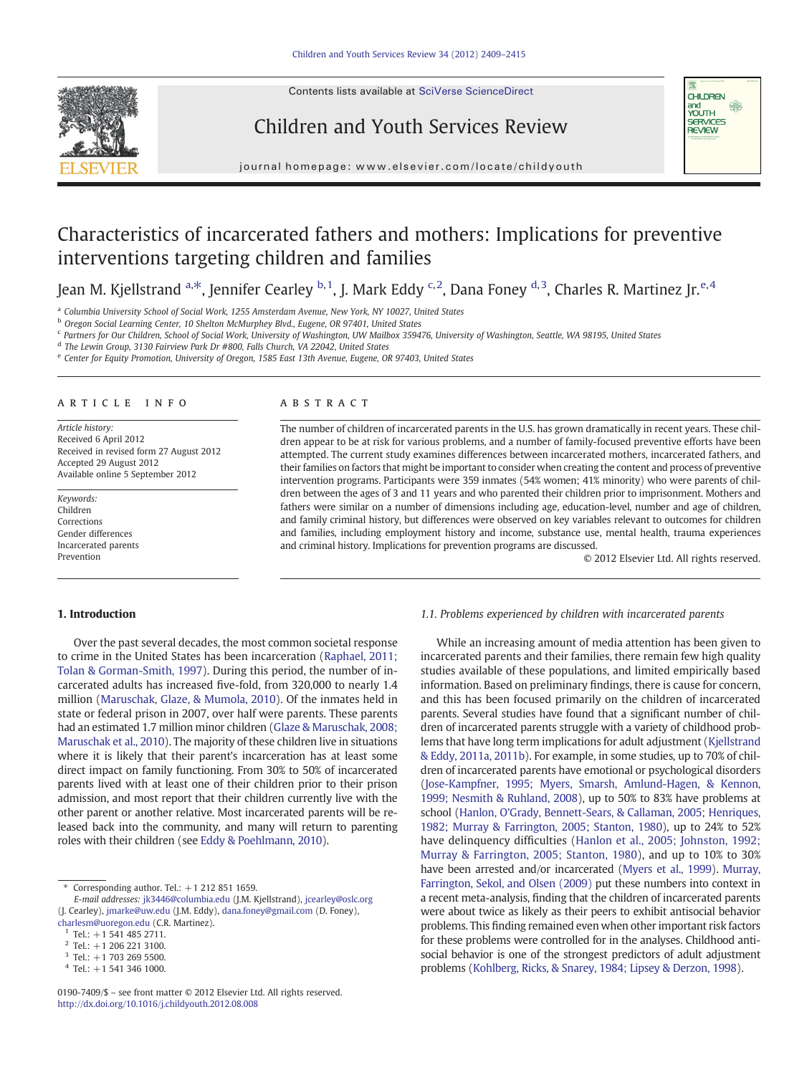Contents lists available at [SciVerse ScienceDirect](http://www.sciencedirect.com/science/journal/01907409)



Children and Youth Services Review



journal homepage: www.elsevier.com/locate/childyouth

# Characteristics of incarcerated fathers and mothers: Implications for preventive interventions targeting children and families

Jean M. Kjellstrand <sup>a,\*</sup>, Jennifer Cearley <sup>b, 1</sup>, J. Mark Eddy <sup>c, 2</sup>, Dana Foney <sup>d, 3</sup>, Charles R. Martinez Jr.<sup>e, 4</sup>

<sup>a</sup> Columbia University School of Social Work, 1255 Amsterdam Avenue, New York, NY 10027, United States

<sup>b</sup> Oregon Social Learning Center, 10 Shelton McMurphey Blvd., Eugene, OR 97401, United States

<sup>c</sup> Partners for Our Children, School of Social Work, University of Washington, UW Mailbox 359476, University of Washington, Seattle, WA 98195, United States

<sup>d</sup> The Lewin Group, 3130 Fairview Park Dr #800, Falls Church, VA 22042, United States

<sup>e</sup> Center for Equity Promotion, University of Oregon, 1585 East 13th Avenue, Eugene, OR 97403, United States

#### article info abstract

Article history: Received 6 April 2012 Received in revised form 27 August 2012 Accepted 29 August 2012 Available online 5 September 2012

Keywords: Children Corrections Gender differences Incarcerated parents Prevention

The number of children of incarcerated parents in the U.S. has grown dramatically in recent years. These children appear to be at risk for various problems, and a number of family-focused preventive efforts have been attempted. The current study examines differences between incarcerated mothers, incarcerated fathers, and their families on factors that might be important to consider when creating the content and process of preventive intervention programs. Participants were 359 inmates (54% women; 41% minority) who were parents of children between the ages of 3 and 11 years and who parented their children prior to imprisonment. Mothers and fathers were similar on a number of dimensions including age, education-level, number and age of children, and family criminal history, but differences were observed on key variables relevant to outcomes for children and families, including employment history and income, substance use, mental health, trauma experiences and criminal history. Implications for prevention programs are discussed.

© 2012 Elsevier Ltd. All rights reserved.

#### 1. Introduction

Over the past several decades, the most common societal response to crime in the United States has been incarceration [\(Raphael, 2011;](#page-6-0) [Tolan & Gorman-Smith, 1997](#page-6-0)). During this period, the number of incarcerated adults has increased five-fold, from 320,000 to nearly 1.4 million [\(Maruschak, Glaze, & Mumola, 2010\)](#page-6-0). Of the inmates held in state or federal prison in 2007, over half were parents. These parents had an estimated 1.7 million minor children [\(Glaze & Maruschak, 2008;](#page-5-0) [Maruschak et al., 2010](#page-5-0)). The majority of these children live in situations where it is likely that their parent's incarceration has at least some direct impact on family functioning. From 30% to 50% of incarcerated parents lived with at least one of their children prior to their prison admission, and most report that their children currently live with the other parent or another relative. Most incarcerated parents will be released back into the community, and many will return to parenting roles with their children (see [Eddy & Poehlmann, 2010\)](#page-5-0).

 $*$  Corresponding author. Tel.:  $+1$  212 851 1659.

# 1.1. Problems experienced by children with incarcerated parents

While an increasing amount of media attention has been given to incarcerated parents and their families, there remain few high quality studies available of these populations, and limited empirically based information. Based on preliminary findings, there is cause for concern, and this has been focused primarily on the children of incarcerated parents. Several studies have found that a significant number of children of incarcerated parents struggle with a variety of childhood problems that have long term implications for adult adjustment [\(Kjellstrand](#page-5-0) [& Eddy, 2011a, 2011b](#page-5-0)). For example, in some studies, up to 70% of children of incarcerated parents have emotional or psychological disorders [\(Jose-Kampfner, 1995; Myers, Smarsh, Amlund-Hagen, & Kennon,](#page-5-0) [1999; Nesmith & Ruhland, 2008\)](#page-5-0), up to 50% to 83% have problems at school [\(Hanlon, O'Grady, Bennett-Sears, & Callaman, 2005; Henriques,](#page-5-0) [1982; Murray & Farrington, 2005; Stanton, 1980\)](#page-5-0), up to 24% to 52% have delinquency difficulties [\(Hanlon et al., 2005; Johnston, 1992;](#page-5-0) [Murray & Farrington, 2005; Stanton, 1980](#page-5-0)), and up to 10% to 30% have been arrested and/or incarcerated ([Myers et al., 1999](#page-6-0)). [Murray,](#page-6-0) [Farrington, Sekol, and Olsen \(2009\)](#page-6-0) put these numbers into context in a recent meta-analysis, finding that the children of incarcerated parents were about twice as likely as their peers to exhibit antisocial behavior problems. This finding remained even when other important risk factors for these problems were controlled for in the analyses. Childhood antisocial behavior is one of the strongest predictors of adult adjustment problems [\(Kohlberg, Ricks, & Snarey, 1984; Lipsey & Derzon, 1998\)](#page-5-0).

E-mail addresses: [jk3446@columbia.edu](mailto:jk3446@columbia.edu) (J.M. Kjellstrand), [jcearley@oslc.org](mailto:jcearley@oslc.org) (J. Cearley), [jmarke@uw.edu](mailto:jmarke@uw.edu) (J.M. Eddy), [dana.foney@gmail.com](mailto:dana.foney@gmail.com) (D. Foney), [charlesm@uoregon.edu](mailto:charlesm@uoregon.edu) (C.R. Martinez).

<sup>1</sup> Tel.: +1 541 485 2711.

Tel.:  $+1$  206 221 3100.

 $3$  Tel.: +1 703 269 5500.

 $4$  Tel.:  $+1$  541 346 1000.

<sup>0190-7409/\$</sup> – see front matter © 2012 Elsevier Ltd. All rights reserved. <http://dx.doi.org/10.1016/j.childyouth.2012.08.008>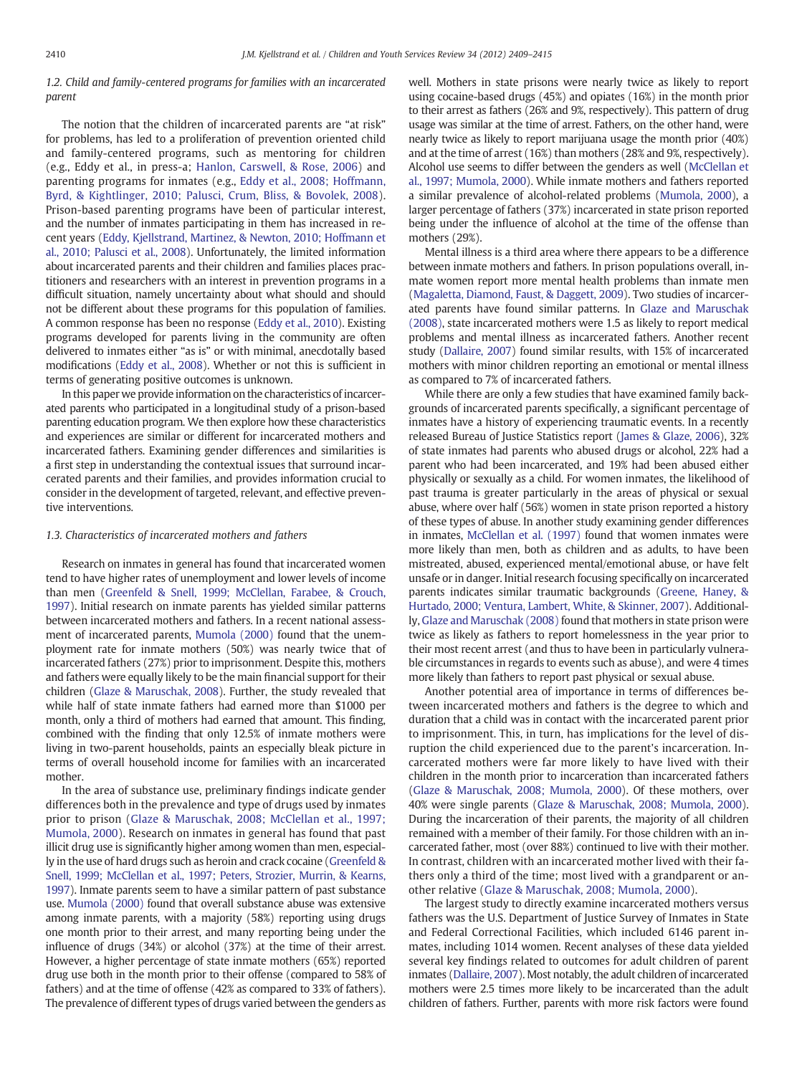# 1.2. Child and family-centered programs for families with an incarcerated parent

The notion that the children of incarcerated parents are "at risk" for problems, has led to a proliferation of prevention oriented child and family-centered programs, such as mentoring for children (e.g., Eddy et al., in press-a; [Hanlon, Carswell, & Rose, 2006](#page-5-0)) and parenting programs for inmates (e.g., [Eddy et al., 2008; Hoffmann,](#page-5-0) [Byrd, & Kightlinger, 2010; Palusci, Crum, Bliss, & Bovolek, 2008](#page-5-0)). Prison-based parenting programs have been of particular interest, and the number of inmates participating in them has increased in recent years [\(Eddy, Kjellstrand, Martinez, & Newton, 2010; Hoffmann et](#page-5-0) [al., 2010; Palusci et al., 2008](#page-5-0)). Unfortunately, the limited information about incarcerated parents and their children and families places practitioners and researchers with an interest in prevention programs in a difficult situation, namely uncertainty about what should and should not be different about these programs for this population of families. A common response has been no response ([Eddy et al., 2010](#page-5-0)). Existing programs developed for parents living in the community are often delivered to inmates either "as is" or with minimal, anecdotally based modifications [\(Eddy et al., 2008](#page-5-0)). Whether or not this is sufficient in terms of generating positive outcomes is unknown.

In this paper we provide information on the characteristics of incarcerated parents who participated in a longitudinal study of a prison-based parenting education program. We then explore how these characteristics and experiences are similar or different for incarcerated mothers and incarcerated fathers. Examining gender differences and similarities is a first step in understanding the contextual issues that surround incarcerated parents and their families, and provides information crucial to consider in the development of targeted, relevant, and effective preventive interventions.

#### 1.3. Characteristics of incarcerated mothers and fathers

Research on inmates in general has found that incarcerated women tend to have higher rates of unemployment and lower levels of income than men ([Greenfeld & Snell, 1999; McClellan, Farabee, & Crouch,](#page-5-0) [1997\)](#page-5-0). Initial research on inmate parents has yielded similar patterns between incarcerated mothers and fathers. In a recent national assessment of incarcerated parents, [Mumola \(2000\)](#page-6-0) found that the unemployment rate for inmate mothers (50%) was nearly twice that of incarcerated fathers (27%) prior to imprisonment. Despite this, mothers and fathers were equally likely to be the main financial support for their children [\(Glaze & Maruschak, 2008](#page-5-0)). Further, the study revealed that while half of state inmate fathers had earned more than \$1000 per month, only a third of mothers had earned that amount. This finding, combined with the finding that only 12.5% of inmate mothers were living in two-parent households, paints an especially bleak picture in terms of overall household income for families with an incarcerated mother.

In the area of substance use, preliminary findings indicate gender differences both in the prevalence and type of drugs used by inmates prior to prison ([Glaze & Maruschak, 2008; McClellan et al., 1997;](#page-5-0) [Mumola, 2000](#page-5-0)). Research on inmates in general has found that past illicit drug use is significantly higher among women than men, especially in the use of hard drugs such as heroin and crack cocaine [\(Greenfeld &](#page-5-0) [Snell, 1999; McClellan et al., 1997; Peters, Strozier, Murrin, & Kearns,](#page-5-0) [1997](#page-5-0)). Inmate parents seem to have a similar pattern of past substance use. [Mumola \(2000\)](#page-6-0) found that overall substance abuse was extensive among inmate parents, with a majority (58%) reporting using drugs one month prior to their arrest, and many reporting being under the influence of drugs (34%) or alcohol (37%) at the time of their arrest. However, a higher percentage of state inmate mothers (65%) reported drug use both in the month prior to their offense (compared to 58% of fathers) and at the time of offense (42% as compared to 33% of fathers). The prevalence of different types of drugs varied between the genders as

well. Mothers in state prisons were nearly twice as likely to report using cocaine-based drugs (45%) and opiates (16%) in the month prior to their arrest as fathers (26% and 9%, respectively). This pattern of drug usage was similar at the time of arrest. Fathers, on the other hand, were nearly twice as likely to report marijuana usage the month prior (40%) and at the time of arrest (16%) than mothers (28% and 9%, respectively). Alcohol use seems to differ between the genders as well ([McClellan et](#page-6-0) [al., 1997; Mumola, 2000](#page-6-0)). While inmate mothers and fathers reported a similar prevalence of alcohol-related problems [\(Mumola, 2000](#page-6-0)), a larger percentage of fathers (37%) incarcerated in state prison reported being under the influence of alcohol at the time of the offense than mothers (29%).

Mental illness is a third area where there appears to be a difference between inmate mothers and fathers. In prison populations overall, inmate women report more mental health problems than inmate men [\(Magaletta, Diamond, Faust, & Daggett, 2009](#page-6-0)). Two studies of incarcerated parents have found similar patterns. In [Glaze and Maruschak](#page-5-0) [\(2008\)](#page-5-0), state incarcerated mothers were 1.5 as likely to report medical problems and mental illness as incarcerated fathers. Another recent study ([Dallaire, 2007\)](#page-5-0) found similar results, with 15% of incarcerated mothers with minor children reporting an emotional or mental illness as compared to 7% of incarcerated fathers.

While there are only a few studies that have examined family backgrounds of incarcerated parents specifically, a significant percentage of inmates have a history of experiencing traumatic events. In a recently released Bureau of Justice Statistics report [\(James & Glaze, 2006](#page-5-0)), 32% of state inmates had parents who abused drugs or alcohol, 22% had a parent who had been incarcerated, and 19% had been abused either physically or sexually as a child. For women inmates, the likelihood of past trauma is greater particularly in the areas of physical or sexual abuse, where over half (56%) women in state prison reported a history of these types of abuse. In another study examining gender differences in inmates, [McClellan et al. \(1997\)](#page-6-0) found that women inmates were more likely than men, both as children and as adults, to have been mistreated, abused, experienced mental/emotional abuse, or have felt unsafe or in danger. Initial research focusing specifically on incarcerated parents indicates similar traumatic backgrounds ([Greene, Haney, &](#page-5-0) [Hurtado, 2000; Ventura, Lambert, White, & Skinner, 2007](#page-5-0)). Additionally,[Glaze and Maruschak \(2008\)](#page-5-0) found that mothers in state prison were twice as likely as fathers to report homelessness in the year prior to their most recent arrest (and thus to have been in particularly vulnerable circumstances in regards to events such as abuse), and were 4 times more likely than fathers to report past physical or sexual abuse.

Another potential area of importance in terms of differences between incarcerated mothers and fathers is the degree to which and duration that a child was in contact with the incarcerated parent prior to imprisonment. This, in turn, has implications for the level of disruption the child experienced due to the parent's incarceration. Incarcerated mothers were far more likely to have lived with their children in the month prior to incarceration than incarcerated fathers [\(Glaze & Maruschak, 2008; Mumola, 2000\)](#page-5-0). Of these mothers, over 40% were single parents ([Glaze & Maruschak, 2008; Mumola, 2000\)](#page-5-0). During the incarceration of their parents, the majority of all children remained with a member of their family. For those children with an incarcerated father, most (over 88%) continued to live with their mother. In contrast, children with an incarcerated mother lived with their fathers only a third of the time; most lived with a grandparent or another relative ([Glaze & Maruschak, 2008; Mumola, 2000\)](#page-5-0).

The largest study to directly examine incarcerated mothers versus fathers was the U.S. Department of Justice Survey of Inmates in State and Federal Correctional Facilities, which included 6146 parent inmates, including 1014 women. Recent analyses of these data yielded several key findings related to outcomes for adult children of parent inmates ([Dallaire, 2007](#page-5-0)). Most notably, the adult children of incarcerated mothers were 2.5 times more likely to be incarcerated than the adult children of fathers. Further, parents with more risk factors were found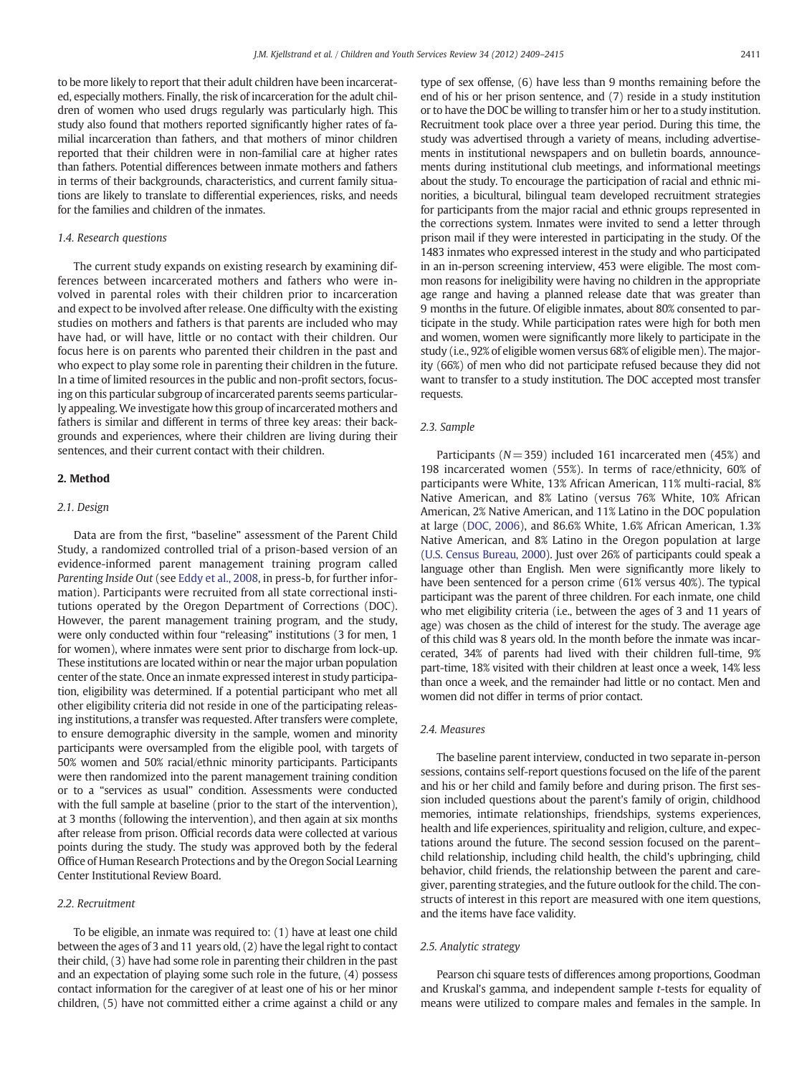to be more likely to report that their adult children have been incarcerated, especially mothers. Finally, the risk of incarceration for the adult children of women who used drugs regularly was particularly high. This study also found that mothers reported significantly higher rates of familial incarceration than fathers, and that mothers of minor children reported that their children were in non-familial care at higher rates than fathers. Potential differences between inmate mothers and fathers in terms of their backgrounds, characteristics, and current family situations are likely to translate to differential experiences, risks, and needs for the families and children of the inmates.

#### 1.4. Research questions

The current study expands on existing research by examining differences between incarcerated mothers and fathers who were involved in parental roles with their children prior to incarceration and expect to be involved after release. One difficulty with the existing studies on mothers and fathers is that parents are included who may have had, or will have, little or no contact with their children. Our focus here is on parents who parented their children in the past and who expect to play some role in parenting their children in the future. In a time of limited resources in the public and non-profit sectors, focusing on this particular subgroup of incarcerated parents seems particularly appealing. We investigate how this group of incarcerated mothers and fathers is similar and different in terms of three key areas: their backgrounds and experiences, where their children are living during their sentences, and their current contact with their children.

#### 2. Method

# 2.1. Design

Data are from the first, "baseline" assessment of the Parent Child Study, a randomized controlled trial of a prison-based version of an evidence-informed parent management training program called Parenting Inside Out (see [Eddy et al., 2008,](#page-5-0) in press-b, for further information). Participants were recruited from all state correctional institutions operated by the Oregon Department of Corrections (DOC). However, the parent management training program, and the study, were only conducted within four "releasing" institutions (3 for men, 1 for women), where inmates were sent prior to discharge from lock-up. These institutions are located within or near the major urban population center of the state. Once an inmate expressed interest in study participation, eligibility was determined. If a potential participant who met all other eligibility criteria did not reside in one of the participating releasing institutions, a transfer was requested. After transfers were complete, to ensure demographic diversity in the sample, women and minority participants were oversampled from the eligible pool, with targets of 50% women and 50% racial/ethnic minority participants. Participants were then randomized into the parent management training condition or to a "services as usual" condition. Assessments were conducted with the full sample at baseline (prior to the start of the intervention), at 3 months (following the intervention), and then again at six months after release from prison. Official records data were collected at various points during the study. The study was approved both by the federal Office of Human Research Protections and by the Oregon Social Learning Center Institutional Review Board.

# 2.2. Recruitment

To be eligible, an inmate was required to: (1) have at least one child between the ages of 3 and 11 years old, (2) have the legal right to contact their child, (3) have had some role in parenting their children in the past and an expectation of playing some such role in the future, (4) possess contact information for the caregiver of at least one of his or her minor children, (5) have not committed either a crime against a child or any

type of sex offense, (6) have less than 9 months remaining before the end of his or her prison sentence, and (7) reside in a study institution or to have the DOC be willing to transfer him or her to a study institution. Recruitment took place over a three year period. During this time, the study was advertised through a variety of means, including advertisements in institutional newspapers and on bulletin boards, announcements during institutional club meetings, and informational meetings about the study. To encourage the participation of racial and ethnic minorities, a bicultural, bilingual team developed recruitment strategies for participants from the major racial and ethnic groups represented in the corrections system. Inmates were invited to send a letter through prison mail if they were interested in participating in the study. Of the 1483 inmates who expressed interest in the study and who participated in an in-person screening interview, 453 were eligible. The most common reasons for ineligibility were having no children in the appropriate age range and having a planned release date that was greater than 9 months in the future. Of eligible inmates, about 80% consented to participate in the study. While participation rates were high for both men and women, women were significantly more likely to participate in the study (i.e., 92% of eligible women versus 68% of eligible men). The majority (66%) of men who did not participate refused because they did not want to transfer to a study institution. The DOC accepted most transfer requests.

#### 2.3. Sample

Participants ( $N=359$ ) included 161 incarcerated men (45%) and 198 incarcerated women (55%). In terms of race/ethnicity, 60% of participants were White, 13% African American, 11% multi-racial, 8% Native American, and 8% Latino (versus 76% White, 10% African American, 2% Native American, and 11% Latino in the DOC population at large ([DOC, 2006\)](#page-5-0), and 86.6% White, 1.6% African American, 1.3% Native American, and 8% Latino in the Oregon population at large [\(U.S. Census Bureau, 2000\)](#page-6-0). Just over 26% of participants could speak a language other than English. Men were significantly more likely to have been sentenced for a person crime (61% versus 40%). The typical participant was the parent of three children. For each inmate, one child who met eligibility criteria (i.e., between the ages of 3 and 11 years of age) was chosen as the child of interest for the study. The average age of this child was 8 years old. In the month before the inmate was incarcerated, 34% of parents had lived with their children full-time, 9% part-time, 18% visited with their children at least once a week, 14% less than once a week, and the remainder had little or no contact. Men and women did not differ in terms of prior contact.

#### 2.4. Measures

The baseline parent interview, conducted in two separate in-person sessions, contains self-report questions focused on the life of the parent and his or her child and family before and during prison. The first session included questions about the parent's family of origin, childhood memories, intimate relationships, friendships, systems experiences, health and life experiences, spirituality and religion, culture, and expectations around the future. The second session focused on the parent– child relationship, including child health, the child's upbringing, child behavior, child friends, the relationship between the parent and caregiver, parenting strategies, and the future outlook for the child. The constructs of interest in this report are measured with one item questions, and the items have face validity.

# 2.5. Analytic strategy

Pearson chi square tests of differences among proportions, Goodman and Kruskal's gamma, and independent sample t-tests for equality of means were utilized to compare males and females in the sample. In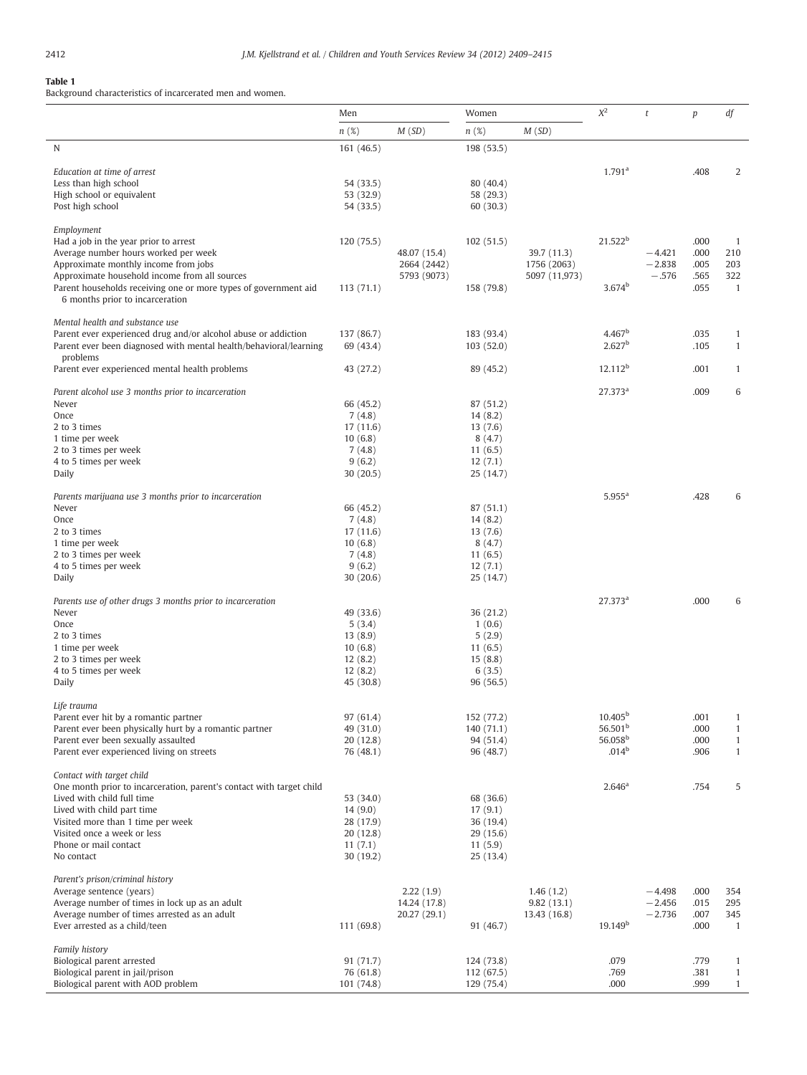#### <span id="page-3-0"></span>Table 1

Background characteristics of incarcerated men and women.

|                                                                                       | Men                    |                            | Women                    |                              | $X^2$                | t                   | p            | df                  |
|---------------------------------------------------------------------------------------|------------------------|----------------------------|--------------------------|------------------------------|----------------------|---------------------|--------------|---------------------|
|                                                                                       | n(%)                   | M(SD)                      | n(%)                     | M(SD)                        |                      |                     |              |                     |
| N                                                                                     | 161 (46.5)             |                            | 198 (53.5)               |                              |                      |                     |              |                     |
| Education at time of arrest                                                           |                        |                            |                          |                              | $1.791$ <sup>a</sup> |                     | .408         | 2                   |
| Less than high school                                                                 | 54 (33.5)              |                            | 80 (40.4)                |                              |                      |                     |              |                     |
| High school or equivalent                                                             | 53 (32.9)              |                            | 58 (29.3)                |                              |                      |                     |              |                     |
| Post high school                                                                      | 54 (33.5)              |                            | 60 (30.3)                |                              |                      |                     |              |                     |
| Employment                                                                            |                        |                            |                          |                              |                      |                     |              |                     |
| Had a job in the year prior to arrest                                                 | 120(75.5)              |                            | 102(51.5)                |                              | 21.522 <sup>b</sup>  |                     | .000         | $\mathbf{1}$        |
| Average number hours worked per week                                                  |                        | 48.07 (15.4)               |                          | 39.7 (11.3)                  |                      | $-4.421$            | .000         | 210                 |
| Approximate monthly income from jobs<br>Approximate household income from all sources |                        | 2664 (2442)<br>5793 (9073) |                          | 1756 (2063)<br>5097 (11,973) |                      | $-2.838$<br>$-.576$ | .005<br>.565 | 203<br>322          |
| Parent households receiving one or more types of government aid                       | 113(71.1)              |                            | 158 (79.8)               |                              | 3.674 <sup>b</sup>   |                     | .055         | 1                   |
| 6 months prior to incarceration                                                       |                        |                            |                          |                              |                      |                     |              |                     |
| Mental health and substance use                                                       |                        |                            |                          |                              |                      |                     |              |                     |
| Parent ever experienced drug and/or alcohol abuse or addiction                        | 137 (86.7)             |                            | 183 (93.4)               |                              | 4.467 <sup>b</sup>   |                     | .035         | $\mathbf{1}$        |
| Parent ever been diagnosed with mental health/behavioral/learning                     | 69 (43.4)              |                            | 103(52.0)                |                              | 2.627 <sup>b</sup>   |                     | .105         | $\mathbf{1}$        |
| problems                                                                              |                        |                            |                          |                              |                      |                     |              |                     |
| Parent ever experienced mental health problems                                        | 43 (27.2)              |                            | 89 (45.2)                |                              | 12.112 <sup>b</sup>  |                     | .001         | 1                   |
| Parent alcohol use 3 months prior to incarceration                                    |                        |                            |                          |                              | 27.373 <sup>a</sup>  |                     | .009         | 6                   |
| Never                                                                                 | 66 (45.2)              |                            | 87 (51.2)                |                              |                      |                     |              |                     |
| Once                                                                                  | 7(4.8)                 |                            | 14(8.2)                  |                              |                      |                     |              |                     |
| 2 to 3 times<br>1 time per week                                                       | 17(11.6)<br>10(6.8)    |                            | 13(7.6)<br>8(4.7)        |                              |                      |                     |              |                     |
| 2 to 3 times per week                                                                 | 7(4.8)                 |                            | 11(6.5)                  |                              |                      |                     |              |                     |
| 4 to 5 times per week                                                                 | 9(6.2)                 |                            | 12(7.1)                  |                              |                      |                     |              |                     |
| Daily                                                                                 | 30(20.5)               |                            | 25(14.7)                 |                              |                      |                     |              |                     |
| Parents marijuana use 3 months prior to incarceration                                 |                        |                            |                          |                              | $5.955^{\rm a}$      |                     | .428         | 6                   |
| Never                                                                                 | 66 (45.2)              |                            | 87 (51.1)                |                              |                      |                     |              |                     |
| Once                                                                                  | 7(4.8)                 |                            | 14(8.2)                  |                              |                      |                     |              |                     |
| 2 to 3 times                                                                          | 17(11.6)               |                            | 13(7.6)                  |                              |                      |                     |              |                     |
| 1 time per week<br>2 to 3 times per week                                              | 10(6.8)<br>7(4.8)      |                            | 8(4.7)<br>11(6.5)        |                              |                      |                     |              |                     |
| 4 to 5 times per week                                                                 | 9(6.2)                 |                            | 12(7.1)                  |                              |                      |                     |              |                     |
| Daily                                                                                 | 30(20.6)               |                            | 25 (14.7)                |                              |                      |                     |              |                     |
| Parents use of other drugs 3 months prior to incarceration                            |                        |                            |                          |                              | 27.373 <sup>a</sup>  |                     | .000         | 6                   |
| Never                                                                                 | 49 (33.6)              |                            | 36 (21.2)                |                              |                      |                     |              |                     |
| Once                                                                                  | 5(3.4)                 |                            | 1(0.6)                   |                              |                      |                     |              |                     |
| 2 to 3 times                                                                          | 13(8.9)                |                            | 5(2.9)                   |                              |                      |                     |              |                     |
| 1 time per week<br>2 to 3 times per week                                              | 10(6.8)<br>12(8.2)     |                            | 11(6.5)<br>15(8.8)       |                              |                      |                     |              |                     |
| 4 to 5 times per week                                                                 | 12(8.2)                |                            | 6(3.5)                   |                              |                      |                     |              |                     |
| Daily                                                                                 | 45 (30.8)              |                            | 96 (56.5)                |                              |                      |                     |              |                     |
| Life trauma                                                                           |                        |                            |                          |                              |                      |                     |              |                     |
| Parent ever hit by a romantic partner                                                 | 97 (61.4)              |                            | 152 (77.2)               |                              | 10.405 <sup>b</sup>  |                     | .001         | $\mathbf{1}$        |
| Parent ever been physically hurt by a romantic partner                                | 49 (31.0)              |                            | 140 (71.1)               |                              | 56.501 <sup>b</sup>  |                     | .000         | $\mathbf{1}$        |
| Parent ever been sexually assaulted                                                   | 20(12.8)               |                            | 94 (51.4)                |                              | 56.058 <sup>b</sup>  |                     | .000         | $\mathbf{1}$        |
| Parent ever experienced living on streets                                             | 76 (48.1)              |                            | 96 (48.7)                |                              | .014 <sup>b</sup>    |                     | .906         | $\mathbf{1}$        |
| Contact with target child                                                             |                        |                            |                          |                              |                      |                     |              |                     |
| One month prior to incarceration, parent's contact with target child                  |                        |                            |                          |                              | 2.646 <sup>a</sup>   |                     | .754         | 5                   |
| Lived with child full time                                                            | 53 (34.0)              |                            | 68 (36.6)                |                              |                      |                     |              |                     |
| Lived with child part time<br>Visited more than 1 time per week                       | 14(9.0)<br>28 (17.9)   |                            | 17(9.1)<br>36 (19.4)     |                              |                      |                     |              |                     |
| Visited once a week or less                                                           | 20(12.8)               |                            | 29 (15.6)                |                              |                      |                     |              |                     |
| Phone or mail contact                                                                 | 11(7.1)                |                            | 11(5.9)                  |                              |                      |                     |              |                     |
| No contact                                                                            | 30 (19.2)              |                            | 25 (13.4)                |                              |                      |                     |              |                     |
| Parent's prison/criminal history                                                      |                        |                            |                          |                              |                      |                     |              |                     |
| Average sentence (years)                                                              |                        | 2.22(1.9)                  |                          | 1.46(1.2)                    |                      | $-4.498$            | .000         | 354                 |
| Average number of times in lock up as an adult                                        |                        | 14.24 (17.8)               |                          | 9.82(13.1)                   |                      | $-2.456$            | .015         | 295                 |
| Average number of times arrested as an adult<br>Ever arrested as a child/teen         | 111 (69.8)             | 20.27 (29.1)               | 91 (46.7)                | 13.43 (16.8)                 | 19.149 <sup>b</sup>  | $-2.736$            | .007<br>.000 | 345<br>$\mathbf{1}$ |
|                                                                                       |                        |                            |                          |                              |                      |                     |              |                     |
| <b>Family history</b><br>Biological parent arrested                                   |                        |                            |                          |                              | .079                 |                     | .779         | $\mathbf{1}$        |
| Biological parent in jail/prison                                                      | 91 (71.7)<br>76 (61.8) |                            | 124 (73.8)<br>112 (67.5) |                              | .769                 |                     | .381         | $\mathbf{1}$        |
| Biological parent with AOD problem                                                    | 101 (74.8)             |                            | 129 (75.4)               |                              | .000                 |                     | .999         | $\mathbf{1}$        |
|                                                                                       |                        |                            |                          |                              |                      |                     |              |                     |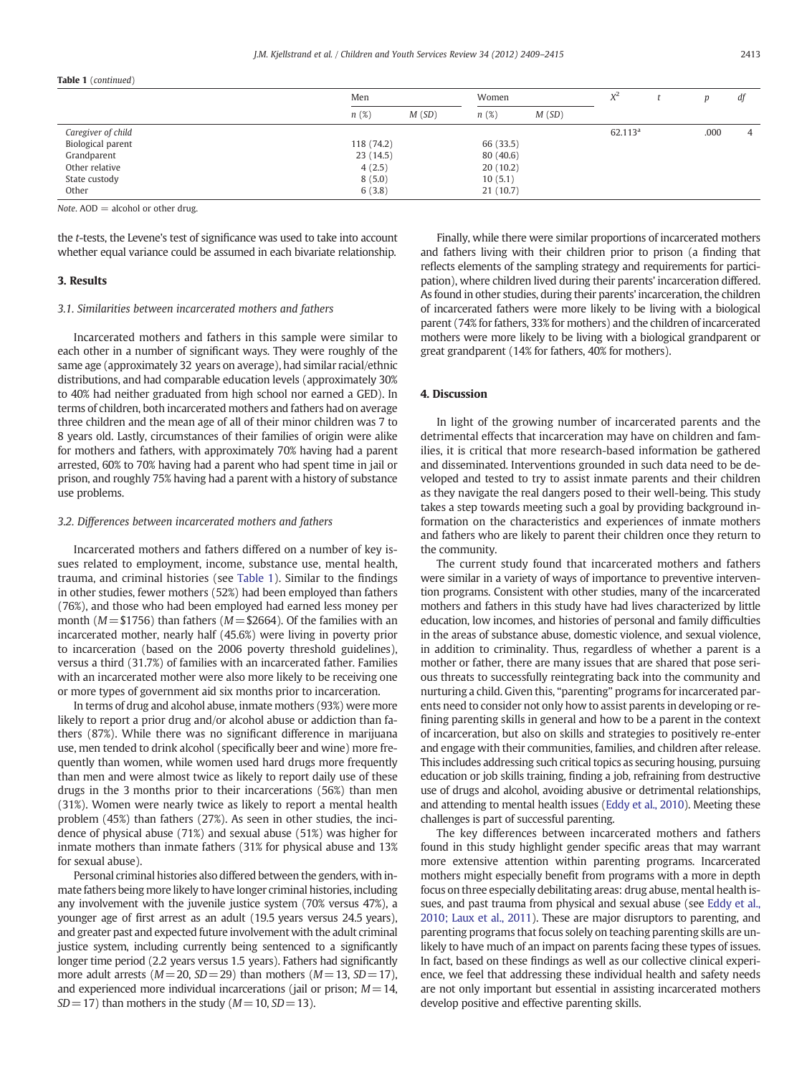#### Table 1 (continued)

|                    | Men        |       |           | Women |                     |      | df |
|--------------------|------------|-------|-----------|-------|---------------------|------|----|
|                    | n(%)       | M(SD) | n(%)      | M(SD) |                     |      |    |
| Caregiver of child |            |       |           |       | 62.113 <sup>a</sup> | .000 | 4  |
| Biological parent  | 118 (74.2) |       | 66 (33.5) |       |                     |      |    |
| Grandparent        | 23(14.5)   |       | 80(40.6)  |       |                     |      |    |
| Other relative     | 4(2.5)     |       | 20(10.2)  |       |                     |      |    |
| State custody      | 8(5.0)     |       | 10(5.1)   |       |                     |      |    |
| Other              | 6(3.8)     |       | 21(10.7)  |       |                     |      |    |

the t-tests, the Levene's test of significance was used to take into account whether equal variance could be assumed in each bivariate relationship.

#### 3. Results

#### 3.1. Similarities between incarcerated mothers and fathers

Incarcerated mothers and fathers in this sample were similar to each other in a number of significant ways. They were roughly of the same age (approximately 32 years on average), had similar racial/ethnic distributions, and had comparable education levels (approximately 30% to 40% had neither graduated from high school nor earned a GED). In terms of children, both incarcerated mothers and fathers had on average three children and the mean age of all of their minor children was 7 to 8 years old. Lastly, circumstances of their families of origin were alike for mothers and fathers, with approximately 70% having had a parent arrested, 60% to 70% having had a parent who had spent time in jail or prison, and roughly 75% having had a parent with a history of substance use problems.

#### 3.2. Differences between incarcerated mothers and fathers

Incarcerated mothers and fathers differed on a number of key issues related to employment, income, substance use, mental health, trauma, and criminal histories (see [Table 1](#page-3-0)). Similar to the findings in other studies, fewer mothers (52%) had been employed than fathers (76%), and those who had been employed had earned less money per month ( $M = $1756$ ) than fathers ( $M = $2664$ ). Of the families with an incarcerated mother, nearly half (45.6%) were living in poverty prior to incarceration (based on the 2006 poverty threshold guidelines), versus a third (31.7%) of families with an incarcerated father. Families with an incarcerated mother were also more likely to be receiving one or more types of government aid six months prior to incarceration.

In terms of drug and alcohol abuse, inmate mothers (93%) were more likely to report a prior drug and/or alcohol abuse or addiction than fathers (87%). While there was no significant difference in marijuana use, men tended to drink alcohol (specifically beer and wine) more frequently than women, while women used hard drugs more frequently than men and were almost twice as likely to report daily use of these drugs in the 3 months prior to their incarcerations (56%) than men (31%). Women were nearly twice as likely to report a mental health problem (45%) than fathers (27%). As seen in other studies, the incidence of physical abuse (71%) and sexual abuse (51%) was higher for inmate mothers than inmate fathers (31% for physical abuse and 13% for sexual abuse).

Personal criminal histories also differed between the genders, with inmate fathers being more likely to have longer criminal histories, including any involvement with the juvenile justice system (70% versus 47%), a younger age of first arrest as an adult (19.5 years versus 24.5 years), and greater past and expected future involvement with the adult criminal justice system, including currently being sentenced to a significantly longer time period (2.2 years versus 1.5 years). Fathers had significantly more adult arrests  $(M=20, SD=29)$  than mothers  $(M=13, SD=17)$ , and experienced more individual incarcerations (jail or prison;  $M=14$ ,  $SD = 17$ ) than mothers in the study ( $M = 10$ ,  $SD = 13$ ).

Finally, while there were similar proportions of incarcerated mothers and fathers living with their children prior to prison (a finding that reflects elements of the sampling strategy and requirements for participation), where children lived during their parents' incarceration differed. As found in other studies, during their parents' incarceration, the children of incarcerated fathers were more likely to be living with a biological parent (74% for fathers, 33% for mothers) and the children of incarcerated mothers were more likely to be living with a biological grandparent or great grandparent (14% for fathers, 40% for mothers).

#### 4. Discussion

In light of the growing number of incarcerated parents and the detrimental effects that incarceration may have on children and families, it is critical that more research-based information be gathered and disseminated. Interventions grounded in such data need to be developed and tested to try to assist inmate parents and their children as they navigate the real dangers posed to their well-being. This study takes a step towards meeting such a goal by providing background information on the characteristics and experiences of inmate mothers and fathers who are likely to parent their children once they return to the community.

The current study found that incarcerated mothers and fathers were similar in a variety of ways of importance to preventive intervention programs. Consistent with other studies, many of the incarcerated mothers and fathers in this study have had lives characterized by little education, low incomes, and histories of personal and family difficulties in the areas of substance abuse, domestic violence, and sexual violence, in addition to criminality. Thus, regardless of whether a parent is a mother or father, there are many issues that are shared that pose serious threats to successfully reintegrating back into the community and nurturing a child. Given this, "parenting" programs for incarcerated parents need to consider not only how to assist parents in developing or refining parenting skills in general and how to be a parent in the context of incarceration, but also on skills and strategies to positively re-enter and engage with their communities, families, and children after release. This includes addressing such critical topics as securing housing, pursuing education or job skills training, finding a job, refraining from destructive use of drugs and alcohol, avoiding abusive or detrimental relationships, and attending to mental health issues [\(Eddy et al., 2010\)](#page-5-0). Meeting these challenges is part of successful parenting.

The key differences between incarcerated mothers and fathers found in this study highlight gender specific areas that may warrant more extensive attention within parenting programs. Incarcerated mothers might especially benefit from programs with a more in depth focus on three especially debilitating areas: drug abuse, mental health issues, and past trauma from physical and sexual abuse (see [Eddy et al.,](#page-5-0) [2010; Laux et al., 2011\)](#page-5-0). These are major disruptors to parenting, and parenting programs that focus solely on teaching parenting skills are unlikely to have much of an impact on parents facing these types of issues. In fact, based on these findings as well as our collective clinical experience, we feel that addressing these individual health and safety needs are not only important but essential in assisting incarcerated mothers develop positive and effective parenting skills.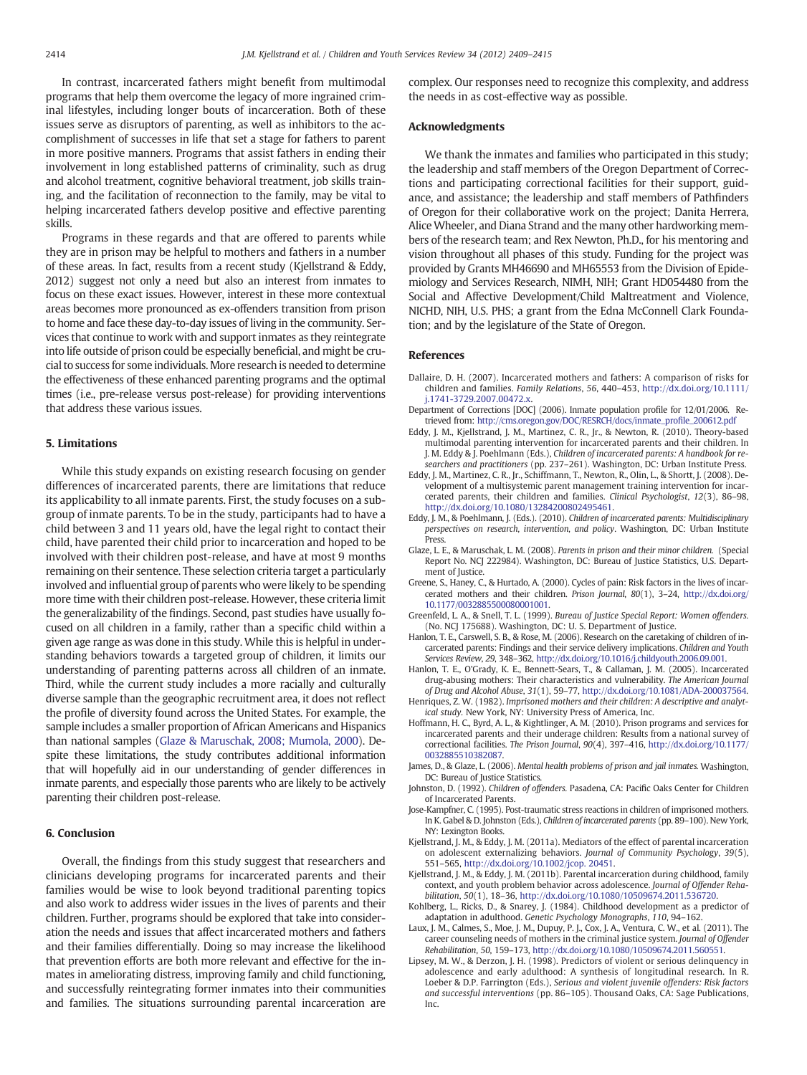<span id="page-5-0"></span>In contrast, incarcerated fathers might benefit from multimodal programs that help them overcome the legacy of more ingrained criminal lifestyles, including longer bouts of incarceration. Both of these issues serve as disruptors of parenting, as well as inhibitors to the accomplishment of successes in life that set a stage for fathers to parent in more positive manners. Programs that assist fathers in ending their involvement in long established patterns of criminality, such as drug and alcohol treatment, cognitive behavioral treatment, job skills training, and the facilitation of reconnection to the family, may be vital to helping incarcerated fathers develop positive and effective parenting skills.

Programs in these regards and that are offered to parents while they are in prison may be helpful to mothers and fathers in a number of these areas. In fact, results from a recent study (Kjellstrand & Eddy, 2012) suggest not only a need but also an interest from inmates to focus on these exact issues. However, interest in these more contextual areas becomes more pronounced as ex-offenders transition from prison to home and face these day-to-day issues of living in the community. Services that continue to work with and support inmates as they reintegrate into life outside of prison could be especially beneficial, and might be crucial to success for some individuals. More research is needed to determine the effectiveness of these enhanced parenting programs and the optimal times (i.e., pre-release versus post-release) for providing interventions that address these various issues.

## 5. Limitations

While this study expands on existing research focusing on gender differences of incarcerated parents, there are limitations that reduce its applicability to all inmate parents. First, the study focuses on a subgroup of inmate parents. To be in the study, participants had to have a child between 3 and 11 years old, have the legal right to contact their child, have parented their child prior to incarceration and hoped to be involved with their children post-release, and have at most 9 months remaining on their sentence. These selection criteria target a particularly involved and influential group of parents who were likely to be spending more time with their children post-release. However, these criteria limit the generalizability of the findings. Second, past studies have usually focused on all children in a family, rather than a specific child within a given age range as was done in this study. While this is helpful in understanding behaviors towards a targeted group of children, it limits our understanding of parenting patterns across all children of an inmate. Third, while the current study includes a more racially and culturally diverse sample than the geographic recruitment area, it does not reflect the profile of diversity found across the United States. For example, the sample includes a smaller proportion of African Americans and Hispanics than national samples (Glaze & Maruschak, 2008; Mumola, 2000). Despite these limitations, the study contributes additional information that will hopefully aid in our understanding of gender differences in inmate parents, and especially those parents who are likely to be actively parenting their children post-release.

### 6. Conclusion

Overall, the findings from this study suggest that researchers and clinicians developing programs for incarcerated parents and their families would be wise to look beyond traditional parenting topics and also work to address wider issues in the lives of parents and their children. Further, programs should be explored that take into consideration the needs and issues that affect incarcerated mothers and fathers and their families differentially. Doing so may increase the likelihood that prevention efforts are both more relevant and effective for the inmates in ameliorating distress, improving family and child functioning, and successfully reintegrating former inmates into their communities and families. The situations surrounding parental incarceration are

complex. Our responses need to recognize this complexity, and address the needs in as cost-effective way as possible.

#### Acknowledgments

We thank the inmates and families who participated in this study; the leadership and staff members of the Oregon Department of Corrections and participating correctional facilities for their support, guidance, and assistance; the leadership and staff members of Pathfinders of Oregon for their collaborative work on the project; Danita Herrera, Alice Wheeler, and Diana Strand and the many other hardworking members of the research team; and Rex Newton, Ph.D., for his mentoring and vision throughout all phases of this study. Funding for the project was provided by Grants MH46690 and MH65553 from the Division of Epidemiology and Services Research, NIMH, NIH; Grant HD054480 from the Social and Affective Development/Child Maltreatment and Violence, NICHD, NIH, U.S. PHS; a grant from the Edna McConnell Clark Foundation; and by the legislature of the State of Oregon.

# References

- Dallaire, D. H. (2007). Incarcerated mothers and fathers: A comparison of risks for children and families. Family Relations, 56, 440–453, http://dx.doi.org[/10.1111/](http://dx.doi.org/10.1111/j.1741-3729.2007.00472.x) [j.1741-3729.2007.00472.x.](http://dx.doi.org/10.1111/j.1741-3729.2007.00472.x)
- Department of Corrections [DOC] (2006). Inmate population profile for 12/01/2006. Retrieved from: [http://cms.oregon.gov/DOC/RESRCH/docs/inmate\\_pro](http://cms.oregon.gov/DOC/RESRCH/docs/inmate_profile_200612.pdf)file\_200612.pdf
- Eddy, J. M., Kjellstrand, J. M., Martinez, C. R., Jr., & Newton, R. (2010). Theory-based multimodal parenting intervention for incarcerated parents and their children. In J. M. Eddy & J. Poehlmann (Eds.), Children of incarcerated parents: A handbook for researchers and practitioners (pp. 237–261). Washington, DC: Urban Institute Press.
- Eddy, J. M., Martinez, C. R., Jr., Schiffmann, T., Newton, R., Olin, L., & Shortt, J. (2008). Development of a multisystemic parent management training intervention for incarcerated parents, their children and families. Clinical Psychologist, 12(3), 86–98, http://dx.doi.org[/10.1080/13284200802495461](http://dx.doi.org/10.1080/13284200802495461).
- Eddy, J. M., & Poehlmann, J. (Eds.). (2010). Children of incarcerated parents: Multidisciplinary perspectives on research, intervention, and policy. Washington, DC: Urban Institute **Press**
- Glaze, L. E., & Maruschak, L. M. (2008). Parents in prison and their minor children. (Special Report No. NCJ 222984). Washington, DC: Bureau of Justice Statistics, U.S. Department of Justice.
- Greene, S., Haney, C., & Hurtado, A. (2000). Cycles of pain: Risk factors in the lives of incarcerated mothers and their children. Prison Journal, 80(1), 3-24, http://dx.doi.org/ [10.1177/0032885500080001001.](http://dx.doi.org/10.1177/0032885500080001001)
- Greenfeld, L. A., & Snell, T. L. (1999). Bureau of Justice Special Report: Women offenders. (No. NCJ 175688). Washington, DC: U. S. Department of Justice.
- Hanlon, T. E., Carswell, S. B., & Rose, M. (2006). Research on the caretaking of children of incarcerated parents: Findings and their service delivery implications. Children and Youth Services Review, 29, 348–362, http://dx.doi.org[/10.1016/j.childyouth.2006.09.001](http://dx.doi.org/10.1016/j.childyouth.2006.09.001).
- Hanlon, T. E., O'Grady, K. E., Bennett-Sears, T., & Callaman, J. M. (2005). Incarcerated drug-abusing mothers: Their characteristics and vulnerability. The American Journal
- of Drug and Alcohol Abuse, 31(1), 59–77, http://dx.doi.org/[10.1081/ADA-200037564](http://dx.doi.org/10.1081/ADA-200037564). Henriques, Z. W. (1982). Imprisoned mothers and their children: A descriptive and analytical study. New York, NY: University Press of America, Inc.
- Hoffmann, H. C., Byrd, A. L., & Kightlinger, A. M. (2010). Prison programs and services for incarcerated parents and their underage children: Results from a national survey of correctional facilities. The Prison Journal, 90(4), 397–416, http://dx.doi.org/[10.1177/](http://dx.doi.org/10.1177/0032885510382087) [0032885510382087.](http://dx.doi.org/10.1177/0032885510382087)
- James, D., & Glaze, L. (2006). Mental health problems of prison and jail inmates. Washington, DC: Bureau of Justice Statistics.
- Johnston, D. (1992). Children of offenders. Pasadena, CA: Pacific Oaks Center for Children of Incarcerated Parents.
- Jose-Kampfner, C. (1995). Post-traumatic stress reactions in children of imprisoned mothers. In K. Gabel & D. Johnston (Eds.), Children of incarcerated parents (pp. 89–100). New York, NY: Lexington Books.
- Kjellstrand, J. M., & Eddy, J. M. (2011a). Mediators of the effect of parental incarceration on adolescent externalizing behaviors. Journal of Community Psychology, 39(5), 551–565, http://dx.doi.org[/10.1002/jcop. 20451.](http://dx.doi.org/10.1002/jcop. 20451)
- Kjellstrand, J. M., & Eddy, J. M. (2011b). Parental incarceration during childhood, family context, and youth problem behavior across adolescence. Journal of Offender Rehabilitation, 50(1), 18–36, http://dx.doi.org[/10.1080/10509674.2011.536720.](http://dx.doi.org/10.1080/10509674.2011.536720)
- Kohlberg, L., Ricks, D., & Snarey, J. (1984). Childhood development as a predictor of adaptation in adulthood. Genetic Psychology Monographs, 110, 94–162.
- Laux, J. M., Calmes, S., Moe, J. M., Dupuy, P. J., Cox, J. A., Ventura, C. W., et al. (2011). The career counseling needs of mothers in the criminal justice system. Journal of Offender Rehabilitation, 50, 159–173, http://dx.doi.org[/10.1080/10509674.2011.560551](http://dx.doi.org/10.1080/10509674.2011.560551).
- Lipsey, M. W., & Derzon, J. H. (1998). Predictors of violent or serious delinquency in adolescence and early adulthood: A synthesis of longitudinal research. In R. Loeber & D.P. Farrington (Eds.), Serious and violent juvenile offenders: Risk factors and successful interventions (pp. 86–105). Thousand Oaks, CA: Sage Publications, Inc.